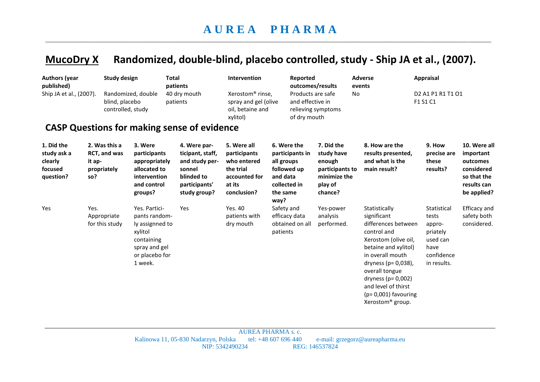## **MucoDry X Randomized, double-blind, placebo controlled, study - Ship JA et al., (2007).**

| <b>Authors (year</b><br>published)<br>Ship JA et al., (2007).                 |      | <b>Study design</b><br>Randomized, double<br>blind, placebo<br>controlled, study<br><b>CASP Questions for making sense of evidence</b> |                                                                                                                          | Total<br>patients<br>40 dry mouth<br>patients                                                               | Intervention<br>Xerostom <sup>®</sup> rinse,<br>spray and gel (olive<br>oil, betaine and<br>xylitol) |                                                    | Reported<br>outcomes/results<br>Products are safe<br>and effective in<br>relieving symptoms<br>of dry mouth |                                                                                             | <b>Adverse</b><br>events<br>No |                                                                                                                                                                                                                                                                                                 | <b>Appraisal</b><br>D2 A1 P1 R1 T1 O1<br>F1 S1 C1                                           |                                                                                                  |
|-------------------------------------------------------------------------------|------|----------------------------------------------------------------------------------------------------------------------------------------|--------------------------------------------------------------------------------------------------------------------------|-------------------------------------------------------------------------------------------------------------|------------------------------------------------------------------------------------------------------|----------------------------------------------------|-------------------------------------------------------------------------------------------------------------|---------------------------------------------------------------------------------------------|--------------------------------|-------------------------------------------------------------------------------------------------------------------------------------------------------------------------------------------------------------------------------------------------------------------------------------------------|---------------------------------------------------------------------------------------------|--------------------------------------------------------------------------------------------------|
| 1. Did the<br>study ask a<br>clearly<br>it ap-<br>focused<br>question?<br>so? |      | 2. Was this a<br>RCT, and was<br>propriately                                                                                           | 3. Were<br>participants<br>appropriately<br>allocated to<br>intervention<br>and control<br>groups?                       | 4. Were par-<br>ticipant, staff,<br>and study per-<br>sonnel<br>blinded to<br>participants'<br>study group? | 5. Were all<br>participants<br>who entered<br>the trial<br>accounted for<br>at its<br>conclusion?    | all groups<br>and data<br>collected in<br>the same | 6. Were the<br>participants in<br>followed up                                                               | 7. Did the<br>study have<br>enough<br>participants to<br>minimize the<br>play of<br>chance? |                                | 8. How are the<br>results presented,<br>and what is the<br>main result?                                                                                                                                                                                                                         | 9. How<br>precise are<br>these<br>results?                                                  | 10. Were all<br>important<br>outcomes<br>considered<br>so that the<br>results can<br>be applied? |
| Yes                                                                           | Yes. | Appropriate<br>for this study                                                                                                          | Yes. Partici-<br>pants random-<br>ly assignned to<br>xylitol<br>containing<br>spray and gel<br>or placebo for<br>1 week. | Yes                                                                                                         | Yes. 40<br>patients with<br>dry mouth                                                                | way?<br>Safety and<br>patients                     | efficacy data<br>obtained on all                                                                            | Yes-power<br>analysis<br>performed.                                                         |                                | Statistically<br>significant<br>differences between<br>control and<br>Xerostom (olive oil,<br>betaine and xylitol)<br>in overall mouth<br>dryness ( $p = 0.038$ ),<br>overall tongue<br>dryness ( $p = 0,002$ )<br>and level of thirst<br>$(p=0,001)$ favouring<br>Xerostom <sup>®</sup> group. | Statistical<br>tests<br>appro-<br>priately<br>used can<br>have<br>confidence<br>in results. | <b>Efficacy and</b><br>safety both<br>considered.                                                |